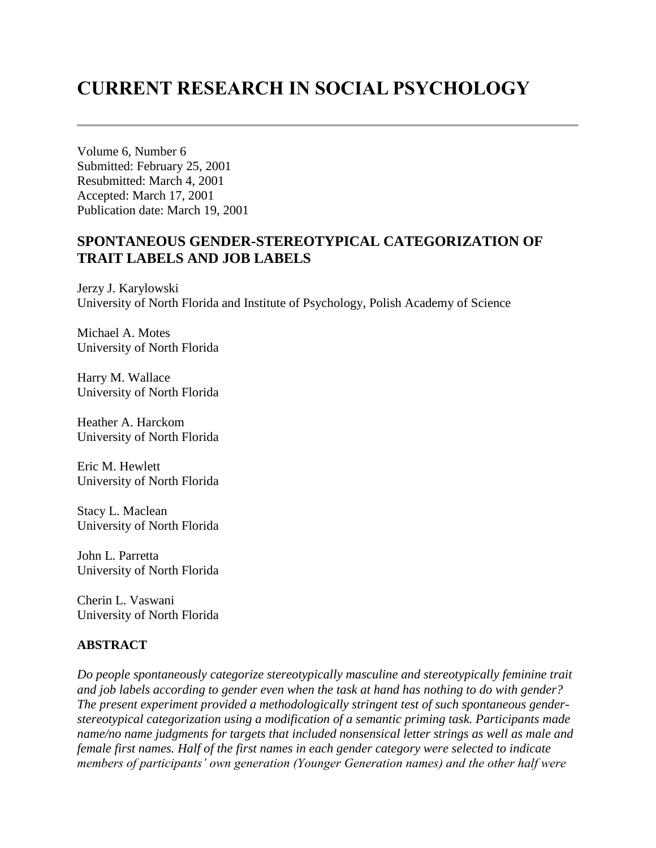# **CURRENT RESEARCH IN SOCIAL PSYCHOLOGY**

Volume 6, Number 6 Submitted: February 25, 2001 Resubmitted: March 4, 2001 Accepted: March 17, 2001 Publication date: March 19, 2001

## **SPONTANEOUS GENDER-STEREOTYPICAL CATEGORIZATION OF TRAIT LABELS AND JOB LABELS**

Jerzy J. Karylowski University of North Florida and Institute of Psychology, Polish Academy of Science

Michael A. Motes University of North Florida

Harry M. Wallace University of North Florida

Heather A. Harckom University of North Florida

Eric M. Hewlett University of North Florida

Stacy L. Maclean University of North Florida

John L. Parretta University of North Florida

Cherin L. Vaswani University of North Florida

## **ABSTRACT**

*Do people spontaneously categorize stereotypically masculine and stereotypically feminine trait and job labels according to gender even when the task at hand has nothing to do with gender? The present experiment provided a methodologically stringent test of such spontaneous genderstereotypical categorization using a modification of a semantic priming task. Participants made name/no name judgments for targets that included nonsensical letter strings as well as male and female first names. Half of the first names in each gender category were selected to indicate members of participants' own generation (Younger Generation names) and the other half were*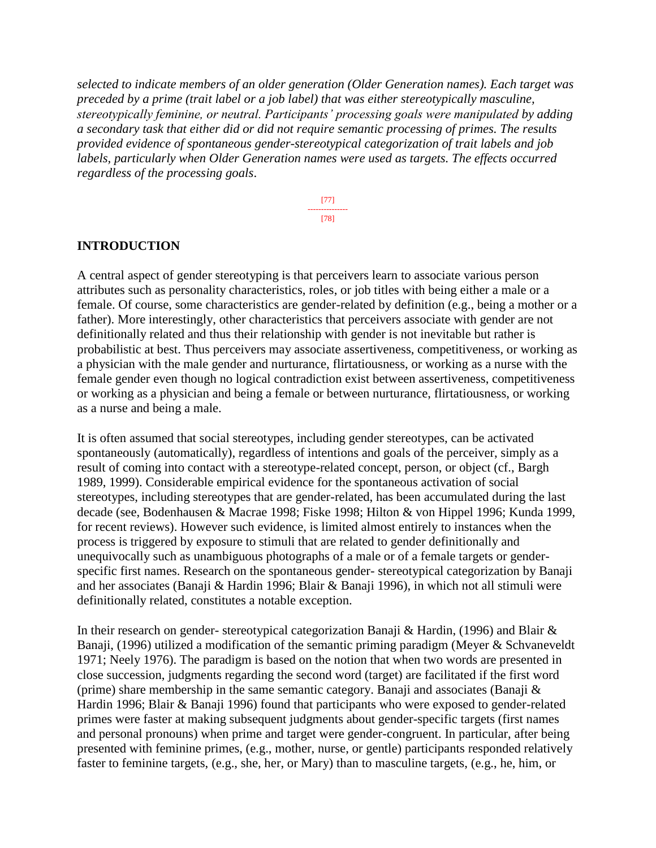*selected to indicate members of an older generation (Older Generation names). Each target was preceded by a prime (trait label or a job label) that was either stereotypically masculine, stereotypically feminine, or neutral. Participants' processing goals were manipulated by adding a secondary task that either did or did not require semantic processing of primes. The results provided evidence of spontaneous gender-stereotypical categorization of trait labels and job labels, particularly when Older Generation names were used as targets. The effects occurred regardless of the processing goals*.

> [77] --------------- [78]

#### **INTRODUCTION**

A central aspect of gender stereotyping is that perceivers learn to associate various person attributes such as personality characteristics, roles, or job titles with being either a male or a female. Of course, some characteristics are gender-related by definition (e.g., being a mother or a father). More interestingly, other characteristics that perceivers associate with gender are not definitionally related and thus their relationship with gender is not inevitable but rather is probabilistic at best. Thus perceivers may associate assertiveness, competitiveness, or working as a physician with the male gender and nurturance, flirtatiousness, or working as a nurse with the female gender even though no logical contradiction exist between assertiveness, competitiveness or working as a physician and being a female or between nurturance, flirtatiousness, or working as a nurse and being a male.

It is often assumed that social stereotypes, including gender stereotypes, can be activated spontaneously (automatically), regardless of intentions and goals of the perceiver, simply as a result of coming into contact with a stereotype-related concept, person, or object (cf., Bargh 1989, 1999). Considerable empirical evidence for the spontaneous activation of social stereotypes, including stereotypes that are gender-related, has been accumulated during the last decade (see, Bodenhausen & Macrae 1998; Fiske 1998; Hilton & von Hippel 1996; Kunda 1999, for recent reviews). However such evidence, is limited almost entirely to instances when the process is triggered by exposure to stimuli that are related to gender definitionally and unequivocally such as unambiguous photographs of a male or of a female targets or genderspecific first names. Research on the spontaneous gender- stereotypical categorization by Banaji and her associates (Banaji & Hardin 1996; Blair & Banaji 1996), in which not all stimuli were definitionally related, constitutes a notable exception.

In their research on gender- stereotypical categorization Banaji & Hardin, (1996) and Blair & Banaji, (1996) utilized a modification of the semantic priming paradigm (Meyer & Schvaneveldt 1971; Neely 1976). The paradigm is based on the notion that when two words are presented in close succession, judgments regarding the second word (target) are facilitated if the first word (prime) share membership in the same semantic category. Banaji and associates (Banaji & Hardin 1996; Blair & Banaji 1996) found that participants who were exposed to gender-related primes were faster at making subsequent judgments about gender-specific targets (first names and personal pronouns) when prime and target were gender-congruent. In particular, after being presented with feminine primes, (e.g., mother, nurse, or gentle) participants responded relatively faster to feminine targets, (e.g., she, her, or Mary) than to masculine targets, (e.g., he, him, or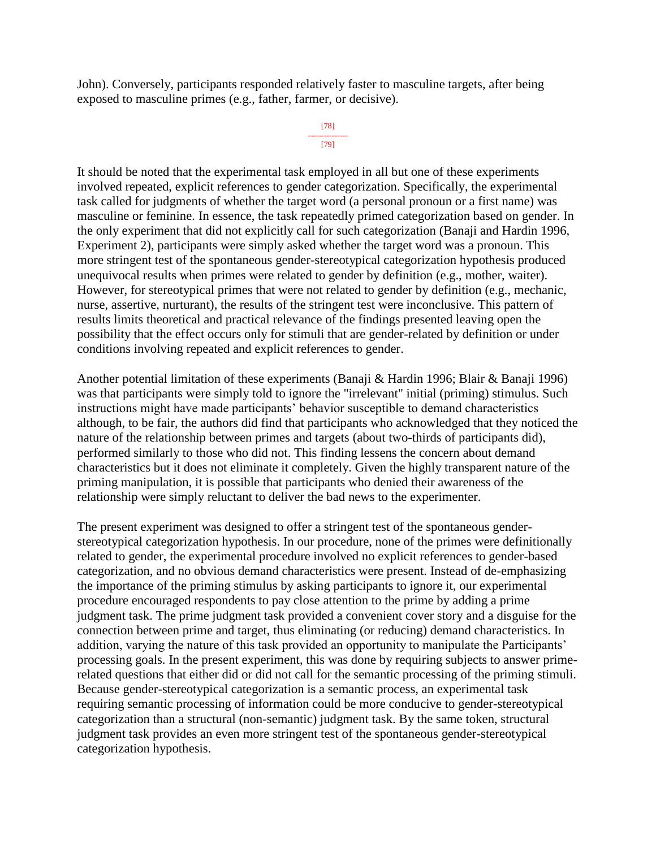John). Conversely, participants responded relatively faster to masculine targets, after being exposed to masculine primes (e.g., father, farmer, or decisive).

```
[78]
---------------
     [79]
```
It should be noted that the experimental task employed in all but one of these experiments involved repeated, explicit references to gender categorization. Specifically, the experimental task called for judgments of whether the target word (a personal pronoun or a first name) was masculine or feminine. In essence, the task repeatedly primed categorization based on gender. In the only experiment that did not explicitly call for such categorization (Banaji and Hardin 1996, Experiment 2), participants were simply asked whether the target word was a pronoun. This more stringent test of the spontaneous gender-stereotypical categorization hypothesis produced unequivocal results when primes were related to gender by definition (e.g., mother, waiter). However, for stereotypical primes that were not related to gender by definition (e.g., mechanic, nurse, assertive, nurturant), the results of the stringent test were inconclusive. This pattern of results limits theoretical and practical relevance of the findings presented leaving open the possibility that the effect occurs only for stimuli that are gender-related by definition or under conditions involving repeated and explicit references to gender.

Another potential limitation of these experiments (Banaji & Hardin 1996; Blair & Banaji 1996) was that participants were simply told to ignore the "irrelevant" initial (priming) stimulus. Such instructions might have made participants' behavior susceptible to demand characteristics although, to be fair, the authors did find that participants who acknowledged that they noticed the nature of the relationship between primes and targets (about two-thirds of participants did), performed similarly to those who did not. This finding lessens the concern about demand characteristics but it does not eliminate it completely. Given the highly transparent nature of the priming manipulation, it is possible that participants who denied their awareness of the relationship were simply reluctant to deliver the bad news to the experimenter.

The present experiment was designed to offer a stringent test of the spontaneous genderstereotypical categorization hypothesis. In our procedure, none of the primes were definitionally related to gender, the experimental procedure involved no explicit references to gender-based categorization, and no obvious demand characteristics were present. Instead of de-emphasizing the importance of the priming stimulus by asking participants to ignore it, our experimental procedure encouraged respondents to pay close attention to the prime by adding a prime judgment task. The prime judgment task provided a convenient cover story and a disguise for the connection between prime and target, thus eliminating (or reducing) demand characteristics. In addition, varying the nature of this task provided an opportunity to manipulate the Participants' processing goals. In the present experiment, this was done by requiring subjects to answer primerelated questions that either did or did not call for the semantic processing of the priming stimuli. Because gender-stereotypical categorization is a semantic process, an experimental task requiring semantic processing of information could be more conducive to gender-stereotypical categorization than a structural (non-semantic) judgment task. By the same token, structural judgment task provides an even more stringent test of the spontaneous gender-stereotypical categorization hypothesis.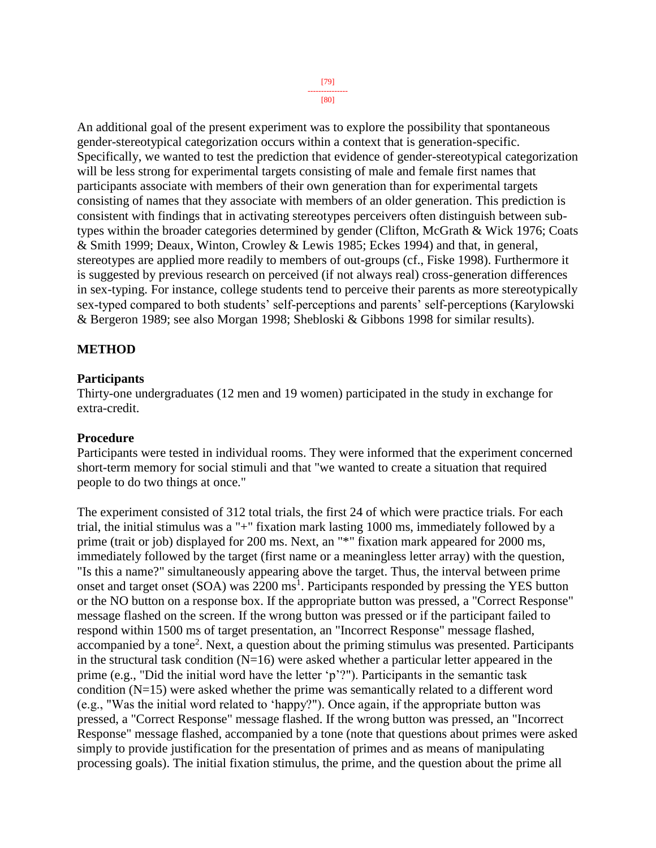[80]

An additional goal of the present experiment was to explore the possibility that spontaneous gender-stereotypical categorization occurs within a context that is generation-specific. Specifically, we wanted to test the prediction that evidence of gender-stereotypical categorization will be less strong for experimental targets consisting of male and female first names that participants associate with members of their own generation than for experimental targets consisting of names that they associate with members of an older generation. This prediction is consistent with findings that in activating stereotypes perceivers often distinguish between subtypes within the broader categories determined by gender (Clifton, McGrath & Wick 1976; Coats & Smith 1999; Deaux, Winton, Crowley & Lewis 1985; Eckes 1994) and that, in general, stereotypes are applied more readily to members of out-groups (cf., Fiske 1998). Furthermore it is suggested by previous research on perceived (if not always real) cross-generation differences in sex-typing. For instance, college students tend to perceive their parents as more stereotypically sex-typed compared to both students' self-perceptions and parents' self-perceptions (Karylowski & Bergeron 1989; see also Morgan 1998; Shebloski & Gibbons 1998 for similar results).

## **METHOD**

## **Participants**

Thirty-one undergraduates (12 men and 19 women) participated in the study in exchange for extra-credit.

#### **Procedure**

Participants were tested in individual rooms. They were informed that the experiment concerned short-term memory for social stimuli and that "we wanted to create a situation that required people to do two things at once."

The experiment consisted of 312 total trials, the first 24 of which were practice trials. For each trial, the initial stimulus was a "+" fixation mark lasting 1000 ms, immediately followed by a prime (trait or job) displayed for 200 ms. Next, an "\*" fixation mark appeared for 2000 ms, immediately followed by the target (first name or a meaningless letter array) with the question, "Is this a name?" simultaneously appearing above the target. Thus, the interval between prime onset and target onset (SOA) was 2200 ms<sup>1</sup>. Participants responded by pressing the YES button or the NO button on a response box. If the appropriate button was pressed, a "Correct Response" message flashed on the screen. If the wrong button was pressed or if the participant failed to respond within 1500 ms of target presentation, an "Incorrect Response" message flashed, accompanied by a tone<sup>2</sup>. Next, a question about the priming stimulus was presented. Participants in the structural task condition  $(N=16)$  were asked whether a particular letter appeared in the prime (e.g., "Did the initial word have the letter 'p'?"). Participants in the semantic task condition (N=15) were asked whether the prime was semantically related to a different word (e.g., "Was the initial word related to 'happy?"). Once again, if the appropriate button was pressed, a "Correct Response" message flashed. If the wrong button was pressed, an "Incorrect Response" message flashed, accompanied by a tone (note that questions about primes were asked simply to provide justification for the presentation of primes and as means of manipulating processing goals). The initial fixation stimulus, the prime, and the question about the prime all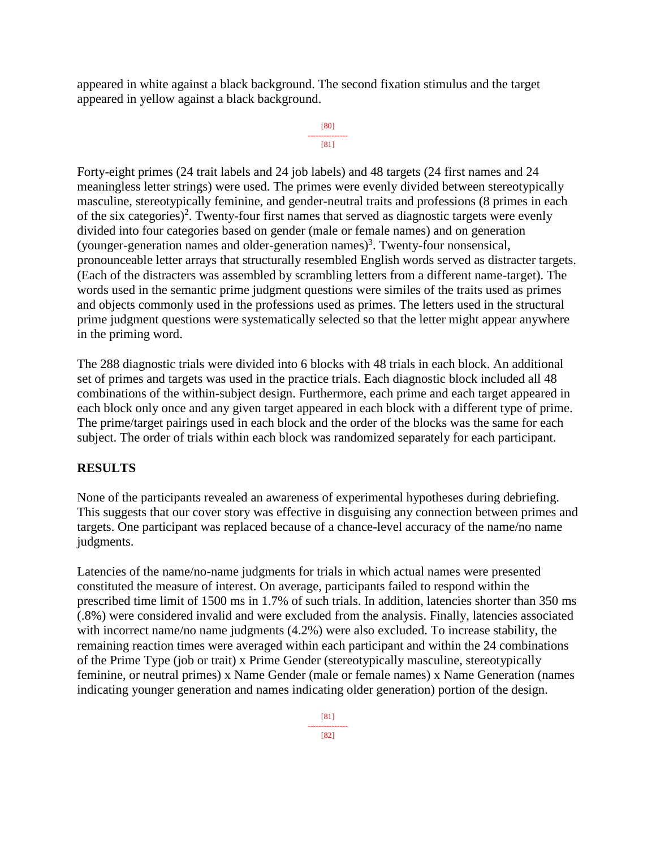appeared in white against a black background. The second fixation stimulus and the target appeared in yellow against a black background.

```
[80]
---------------
    [81]
```
Forty-eight primes (24 trait labels and 24 job labels) and 48 targets (24 first names and 24 meaningless letter strings) were used. The primes were evenly divided between stereotypically masculine, stereotypically feminine, and gender-neutral traits and professions (8 primes in each of the six categories)<sup>2</sup>. Twenty-four first names that served as diagnostic targets were evenly divided into four categories based on gender (male or female names) and on generation (younger-generation names and older-generation names)<sup>3</sup>. Twenty-four nonsensical, pronounceable letter arrays that structurally resembled English words served as distracter targets. (Each of the distracters was assembled by scrambling letters from a different name-target). The words used in the semantic prime judgment questions were similes of the traits used as primes and objects commonly used in the professions used as primes. The letters used in the structural prime judgment questions were systematically selected so that the letter might appear anywhere in the priming word.

The 288 diagnostic trials were divided into 6 blocks with 48 trials in each block. An additional set of primes and targets was used in the practice trials. Each diagnostic block included all 48 combinations of the within-subject design. Furthermore, each prime and each target appeared in each block only once and any given target appeared in each block with a different type of prime. The prime/target pairings used in each block and the order of the blocks was the same for each subject. The order of trials within each block was randomized separately for each participant.

## **RESULTS**

None of the participants revealed an awareness of experimental hypotheses during debriefing. This suggests that our cover story was effective in disguising any connection between primes and targets. One participant was replaced because of a chance-level accuracy of the name/no name judgments.

Latencies of the name/no-name judgments for trials in which actual names were presented constituted the measure of interest. On average, participants failed to respond within the prescribed time limit of 1500 ms in 1.7% of such trials. In addition, latencies shorter than 350 ms (.8%) were considered invalid and were excluded from the analysis. Finally, latencies associated with incorrect name/no name judgments  $(4.2%)$  were also excluded. To increase stability, the remaining reaction times were averaged within each participant and within the 24 combinations of the Prime Type (job or trait) x Prime Gender (stereotypically masculine, stereotypically feminine, or neutral primes) x Name Gender (male or female names) x Name Generation (names indicating younger generation and names indicating older generation) portion of the design.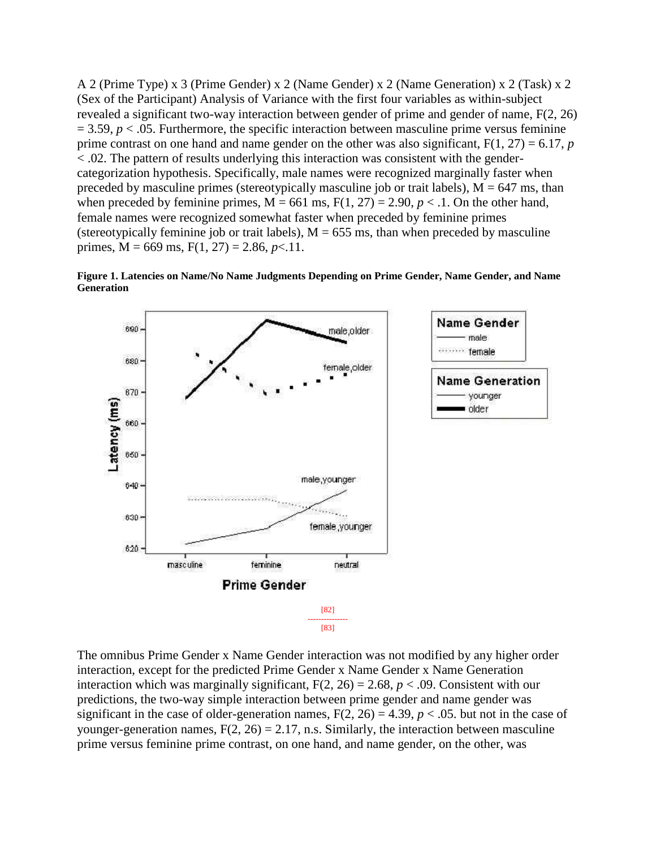A 2 (Prime Type) x 3 (Prime Gender) x 2 (Name Gender) x 2 (Name Generation) x 2 (Task) x 2 (Sex of the Participant) Analysis of Variance with the first four variables as within-subject revealed a significant two-way interaction between gender of prime and gender of name, F(2, 26)  $= 3.59, p < 0.05$ . Furthermore, the specific interaction between masculine prime versus feminine prime contrast on one hand and name gender on the other was also significant,  $F(1, 27) = 6.17$ , *p* < .02. The pattern of results underlying this interaction was consistent with the gendercategorization hypothesis. Specifically, male names were recognized marginally faster when preceded by masculine primes (stereotypically masculine job or trait labels),  $M = 647$  ms, than when preceded by feminine primes,  $M = 661$  ms,  $F(1, 27) = 2.90$ ,  $p < 1$ . On the other hand, female names were recognized somewhat faster when preceded by feminine primes (stereotypically feminine job or trait labels),  $M = 655$  ms, than when preceded by masculine primes,  $M = 669$  ms,  $F(1, 27) = 2.86$ ,  $p < 11$ .



**Figure 1. Latencies on Name/No Name Judgments Depending on Prime Gender, Name Gender, and Name Generation**

The omnibus Prime Gender x Name Gender interaction was not modified by any higher order interaction, except for the predicted Prime Gender x Name Gender x Name Generation interaction which was marginally significant,  $F(2, 26) = 2.68$ ,  $p < .09$ . Consistent with our predictions, the two-way simple interaction between prime gender and name gender was significant in the case of older-generation names,  $F(2, 26) = 4.39$ ,  $p < .05$ . but not in the case of younger-generation names,  $F(2, 26) = 2.17$ , n.s. Similarly, the interaction between masculine prime versus feminine prime contrast, on one hand, and name gender, on the other, was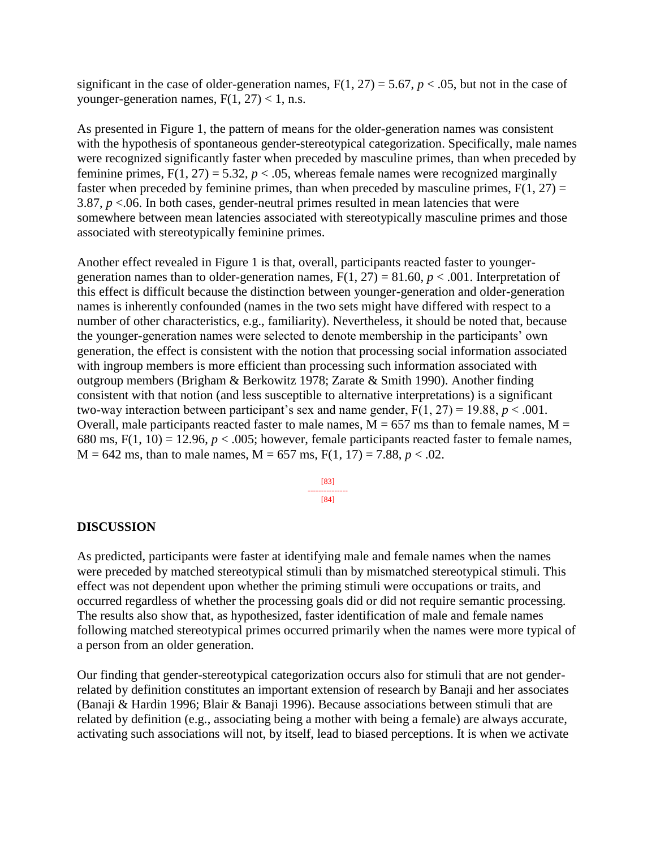significant in the case of older-generation names,  $F(1, 27) = 5.67$ ,  $p < .05$ , but not in the case of younger-generation names,  $F(1, 27) < 1$ , n.s.

As presented in Figure 1, the pattern of means for the older-generation names was consistent with the hypothesis of spontaneous gender-stereotypical categorization. Specifically, male names were recognized significantly faster when preceded by masculine primes, than when preceded by feminine primes,  $F(1, 27) = 5.32$ ,  $p < .05$ , whereas female names were recognized marginally faster when preceded by feminine primes, than when preceded by masculine primes,  $F(1, 27) =$ 3.87,  $p < 0.06$ . In both cases, gender-neutral primes resulted in mean latencies that were somewhere between mean latencies associated with stereotypically masculine primes and those associated with stereotypically feminine primes.

Another effect revealed in Figure 1 is that, overall, participants reacted faster to youngergeneration names than to older-generation names,  $F(1, 27) = 81.60$ ,  $p < .001$ . Interpretation of this effect is difficult because the distinction between younger-generation and older-generation names is inherently confounded (names in the two sets might have differed with respect to a number of other characteristics, e.g., familiarity). Nevertheless, it should be noted that, because the younger-generation names were selected to denote membership in the participants' own generation, the effect is consistent with the notion that processing social information associated with ingroup members is more efficient than processing such information associated with outgroup members (Brigham & Berkowitz 1978; Zarate & Smith 1990). Another finding consistent with that notion (and less susceptible to alternative interpretations) is a significant two-way interaction between participant's sex and name gender,  $F(1, 27) = 19.88$ ,  $p < .001$ . Overall, male participants reacted faster to male names,  $M = 657$  ms than to female names,  $M =$ 680 ms,  $F(1, 10) = 12.96$ ,  $p < .005$ ; however, female participants reacted faster to female names,  $M = 642$  ms, than to male names,  $M = 657$  ms,  $F(1, 17) = 7.88$ ,  $p < .02$ .

> [83] --------------- [84]

#### **DISCUSSION**

As predicted, participants were faster at identifying male and female names when the names were preceded by matched stereotypical stimuli than by mismatched stereotypical stimuli. This effect was not dependent upon whether the priming stimuli were occupations or traits, and occurred regardless of whether the processing goals did or did not require semantic processing. The results also show that, as hypothesized, faster identification of male and female names following matched stereotypical primes occurred primarily when the names were more typical of a person from an older generation.

Our finding that gender-stereotypical categorization occurs also for stimuli that are not genderrelated by definition constitutes an important extension of research by Banaji and her associates (Banaji & Hardin 1996; Blair & Banaji 1996). Because associations between stimuli that are related by definition (e.g., associating being a mother with being a female) are always accurate, activating such associations will not, by itself, lead to biased perceptions. It is when we activate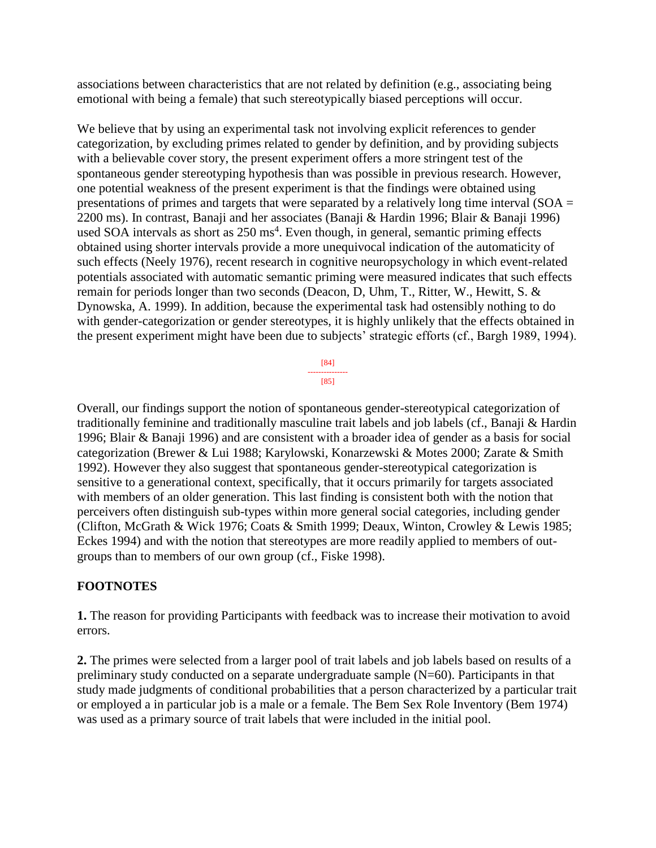associations between characteristics that are not related by definition (e.g., associating being emotional with being a female) that such stereotypically biased perceptions will occur.

We believe that by using an experimental task not involving explicit references to gender categorization, by excluding primes related to gender by definition, and by providing subjects with a believable cover story, the present experiment offers a more stringent test of the spontaneous gender stereotyping hypothesis than was possible in previous research. However, one potential weakness of the present experiment is that the findings were obtained using presentations of primes and targets that were separated by a relatively long time interval ( $SOA =$ 2200 ms). In contrast, Banaji and her associates (Banaji & Hardin 1996; Blair & Banaji 1996) used SOA intervals as short as  $250 \text{ ms}^4$ . Even though, in general, semantic priming effects obtained using shorter intervals provide a more unequivocal indication of the automaticity of such effects (Neely 1976), recent research in cognitive neuropsychology in which event-related potentials associated with automatic semantic priming were measured indicates that such effects remain for periods longer than two seconds (Deacon, D, Uhm, T., Ritter, W., Hewitt, S. & Dynowska, A. 1999). In addition, because the experimental task had ostensibly nothing to do with gender-categorization or gender stereotypes, it is highly unlikely that the effects obtained in the present experiment might have been due to subjects' strategic efforts (cf., Bargh 1989, 1994).



Overall, our findings support the notion of spontaneous gender-stereotypical categorization of traditionally feminine and traditionally masculine trait labels and job labels (cf., Banaji & Hardin 1996; Blair & Banaji 1996) and are consistent with a broader idea of gender as a basis for social categorization (Brewer & Lui 1988; Karylowski, Konarzewski & Motes 2000; Zarate & Smith 1992). However they also suggest that spontaneous gender-stereotypical categorization is sensitive to a generational context, specifically, that it occurs primarily for targets associated with members of an older generation. This last finding is consistent both with the notion that perceivers often distinguish sub-types within more general social categories, including gender (Clifton, McGrath & Wick 1976; Coats & Smith 1999; Deaux, Winton, Crowley & Lewis 1985; Eckes 1994) and with the notion that stereotypes are more readily applied to members of outgroups than to members of our own group (cf., Fiske 1998).

## **FOOTNOTES**

**1.** The reason for providing Participants with feedback was to increase their motivation to avoid errors.

**2.** The primes were selected from a larger pool of trait labels and job labels based on results of a preliminary study conducted on a separate undergraduate sample (N=60). Participants in that study made judgments of conditional probabilities that a person characterized by a particular trait or employed a in particular job is a male or a female. The Bem Sex Role Inventory (Bem 1974) was used as a primary source of trait labels that were included in the initial pool.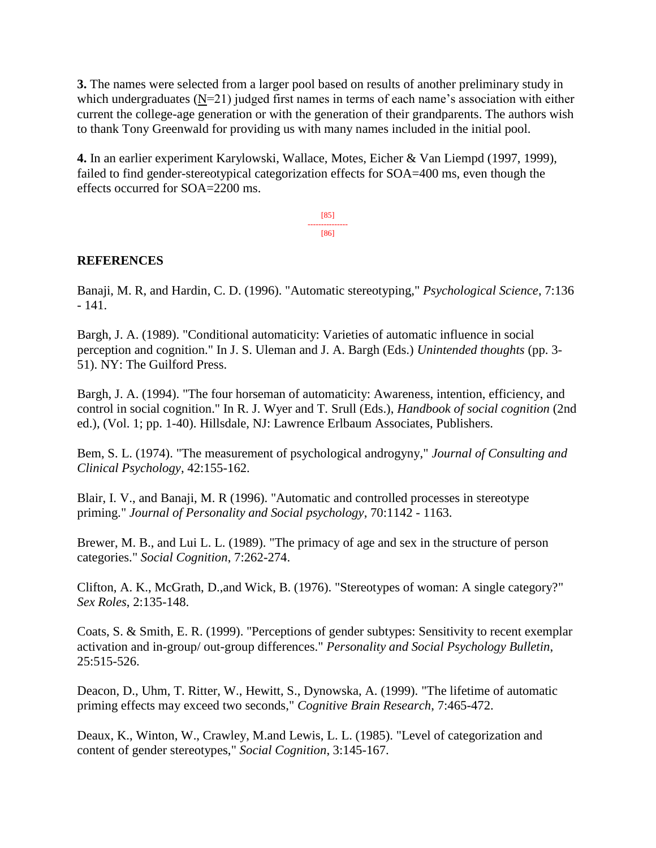**3.** The names were selected from a larger pool based on results of another preliminary study in which undergraduates  $(N=21)$  judged first names in terms of each name's association with either current the college-age generation or with the generation of their grandparents. The authors wish to thank Tony Greenwald for providing us with many names included in the initial pool.

**4.** In an earlier experiment Karylowski, Wallace, Motes, Eicher & Van Liempd (1997, 1999), failed to find gender-stereotypical categorization effects for SOA=400 ms, even though the effects occurred for SOA=2200 ms.

> [85] --------------- [86]

## **REFERENCES**

Banaji, M. R, and Hardin, C. D. (1996). "Automatic stereotyping," *Psychological Science*, 7:136 - 141.

Bargh, J. A. (1989). "Conditional automaticity: Varieties of automatic influence in social perception and cognition." In J. S. Uleman and J. A. Bargh (Eds.) *Unintended thoughts* (pp. 3- 51). NY: The Guilford Press.

Bargh, J. A. (1994). "The four horseman of automaticity: Awareness, intention, efficiency, and control in social cognition." In R. J. Wyer and T. Srull (Eds.), *Handbook of social cognition* (2nd ed.), (Vol. 1; pp. 1-40). Hillsdale, NJ: Lawrence Erlbaum Associates, Publishers.

Bem, S. L. (1974). "The measurement of psychological androgyny," *Journal of Consulting and Clinical Psychology*, 42:155-162.

Blair, I. V., and Banaji, M. R (1996). "Automatic and controlled processes in stereotype priming." *Journal of Personality and Social psychology*, 70:1142 - 1163.

Brewer, M. B., and Lui L. L. (1989). "The primacy of age and sex in the structure of person categories." *Social Cognition*, 7:262-274.

Clifton, A. K., McGrath, D.,and Wick, B. (1976). "Stereotypes of woman: A single category?" *Sex Roles*, 2:135-148.

Coats, S. & Smith, E. R. (1999). "Perceptions of gender subtypes: Sensitivity to recent exemplar activation and in-group/ out-group differences." *Personality and Social Psychology Bulletin*, 25:515-526.

Deacon, D., Uhm, T. Ritter, W., Hewitt, S., Dynowska, A. (1999). "The lifetime of automatic priming effects may exceed two seconds," *Cognitive Brain Research*, 7:465-472.

Deaux, K., Winton, W., Crawley, M.and Lewis, L. L. (1985). "Level of categorization and content of gender stereotypes," *Social Cognition*, 3:145-167.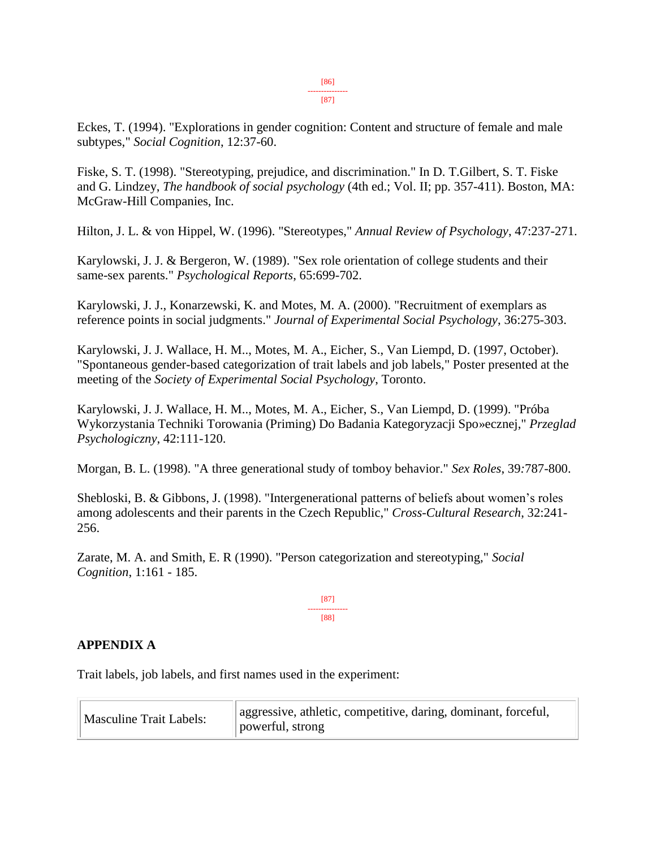Eckes, T. (1994). "Explorations in gender cognition: Content and structure of female and male subtypes," *Social Cognition*, 12:37-60.

Fiske, S. T. (1998). "Stereotyping, prejudice, and discrimination." In D. T.Gilbert, S. T. Fiske and G. Lindzey, *The handbook of social psychology* (4th ed.; Vol. II; pp. 357-411). Boston, MA: McGraw-Hill Companies, Inc.

Hilton, J. L. & von Hippel, W. (1996). "Stereotypes," *Annual Review of Psychology*, 47:237-271.

Karylowski, J. J. & Bergeron, W. (1989). "Sex role orientation of college students and their same-sex parents." *Psychological Reports*, 65:699-702.

Karylowski, J. J., Konarzewski, K. and Motes, M. A. (2000). "Recruitment of exemplars as reference points in social judgments." *Journal of Experimental Social Psychology*, 36:275-303.

Karylowski, J. J. Wallace, H. M.., Motes, M. A., Eicher, S., Van Liempd, D. (1997, October). "Spontaneous gender-based categorization of trait labels and job labels," Poster presented at the meeting of the *Society of Experimental Social Psychology*, Toronto.

Karylowski, J. J. Wallace, H. M.., Motes, M. A., Eicher, S., Van Liempd, D. (1999). "Próba Wykorzystania Techniki Torowania (Priming) Do Badania Kategoryzacji Spo»ecznej," *Przeglad Psychologiczny*, 42:111-120.

Morgan, B. L. (1998). "A three generational study of tomboy behavior." *Sex Roles*, 39*:*787-800.

Shebloski, B. & Gibbons, J. (1998). "Intergenerational patterns of beliefs about women's roles among adolescents and their parents in the Czech Republic," *Cross-Cultural Research*, 32:241- 256.

Zarate, M. A. and Smith, E. R (1990). "Person categorization and stereotyping," *Social Cognition*, 1:161 - 185.

> [87] --------------- [88]

## **APPENDIX A**

Trait labels, job labels, and first names used in the experiment:

| <b>Masculine Trait Labels:</b> | aggressive, athletic, competitive, daring, dominant, forceful,<br>powerful, strong |
|--------------------------------|------------------------------------------------------------------------------------|
|--------------------------------|------------------------------------------------------------------------------------|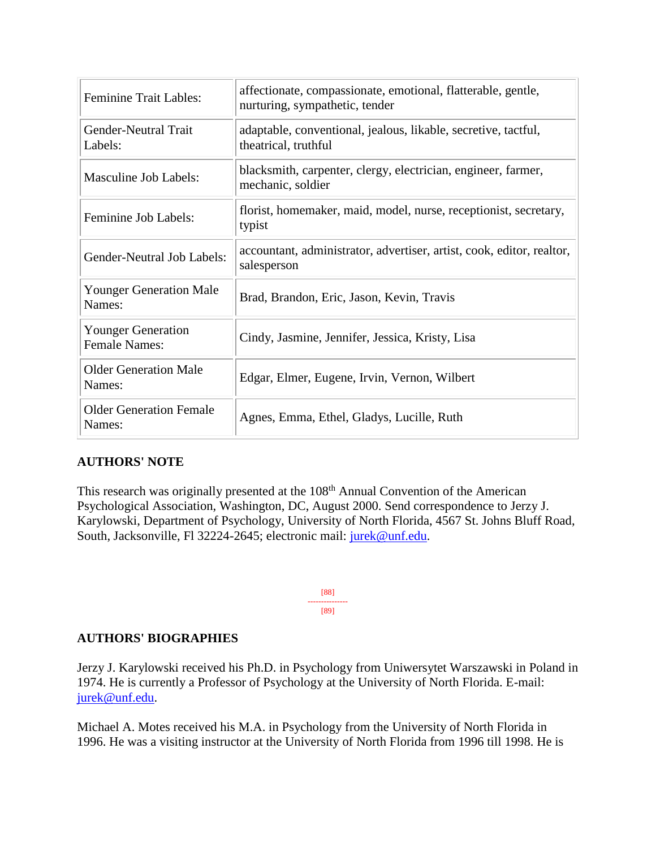| <b>Feminine Trait Lables:</b>                     | affectionate, compassionate, emotional, flatterable, gentle,<br>nurturing, sympathetic, tender |
|---------------------------------------------------|------------------------------------------------------------------------------------------------|
| <b>Gender-Neutral Trait</b><br>Labels:            | adaptable, conventional, jealous, likable, secretive, tactful,<br>theatrical, truthful         |
| <b>Masculine Job Labels:</b>                      | blacksmith, carpenter, clergy, electrician, engineer, farmer,<br>mechanic, soldier             |
| Feminine Job Labels:                              | florist, homemaker, maid, model, nurse, receptionist, secretary,<br>typist                     |
| Gender-Neutral Job Labels:                        | accountant, administrator, advertiser, artist, cook, editor, realtor,<br>salesperson           |
| <b>Younger Generation Male</b><br>Names:          | Brad, Brandon, Eric, Jason, Kevin, Travis                                                      |
| <b>Younger Generation</b><br><b>Female Names:</b> | Cindy, Jasmine, Jennifer, Jessica, Kristy, Lisa                                                |
| <b>Older Generation Male</b><br>Names:            | Edgar, Elmer, Eugene, Irvin, Vernon, Wilbert                                                   |
| <b>Older Generation Female</b><br>Names:          | Agnes, Emma, Ethel, Gladys, Lucille, Ruth                                                      |

## **AUTHORS' NOTE**

This research was originally presented at the 108<sup>th</sup> Annual Convention of the American Psychological Association, Washington, DC, August 2000. Send correspondence to Jerzy J. Karylowski, Department of Psychology, University of North Florida, 4567 St. Johns Bluff Road, South, Jacksonville, Fl 32224-2645; electronic mail: [jurek@unf.edu.](mailto:jurek@unf.edu)

> [88] --------------- [89]

## **AUTHORS' BIOGRAPHIES**

Jerzy J. Karylowski received his Ph.D. in Psychology from Uniwersytet Warszawski in Poland in 1974. He is currently a Professor of Psychology at the University of North Florida. E-mail: [jurek@unf.edu.](mailto:jurek@unf.edu)

Michael A. Motes received his M.A. in Psychology from the University of North Florida in 1996. He was a visiting instructor at the University of North Florida from 1996 till 1998. He is